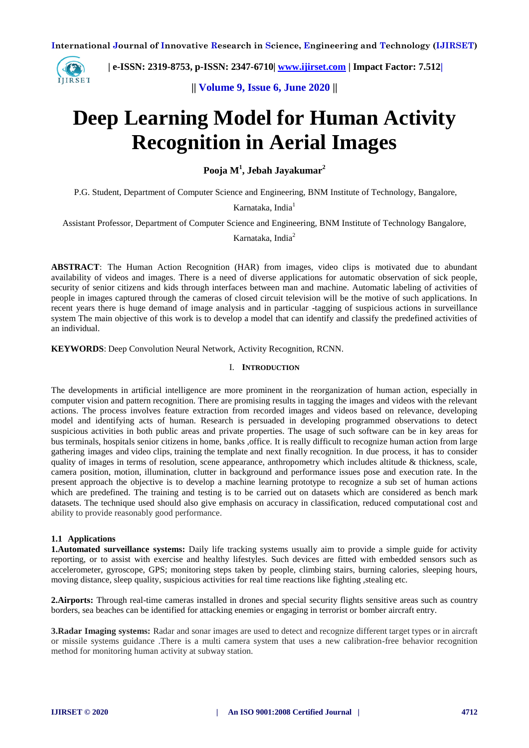

 **| e-ISSN: 2319-8753, p-ISSN: 2347-6710| [www.ijirset.com](http://www.ijirset.com/) | Impact Factor: 7.512|**

**|| Volume 9, Issue 6, June 2020 ||** 

# **Deep Learning Model for Human Activity Recognition in Aerial Images**

**Pooja M<sup>1</sup> , Jebah Jayakumar<sup>2</sup>**

P.G. Student, Department of Computer Science and Engineering, BNM Institute of Technology, Bangalore,

Karnataka, India<sup>1</sup>

Assistant Professor, Department of Computer Science and Engineering, BNM Institute of Technology Bangalore,

Karnataka, India<sup>2</sup>

**ABSTRACT**: The Human Action Recognition (HAR) from images, video clips is motivated due to abundant availability of videos and images. There is a need of diverse applications for automatic observation of sick people, security of senior citizens and kids through interfaces between man and machine. Automatic labeling of activities of people in images captured through the cameras of closed circuit television will be the motive of such applications. In recent years there is huge demand of image analysis and in particular -tagging of suspicious actions in surveillance system The main objective of this work is to develop a model that can identify and classify the predefined activities of an individual.

**KEYWORDS**: Deep Convolution Neural Network, Activity Recognition, RCNN.

## I. **INTRODUCTION**

The developments in artificial intelligence are more prominent in the reorganization of human action, especially in computer vision and pattern recognition. There are promising results in tagging the images and videos with the relevant actions. The process involves feature extraction from recorded images and videos based on relevance, developing model and identifying acts of human. Research is persuaded in developing programmed observations to detect suspicious activities in both public areas and private properties. The usage of such software can be in key areas for bus terminals, hospitals senior citizens in home, banks ,office. It is really difficult to recognize human action from large gathering images and video clips, training the template and next finally recognition. In due process, it has to consider quality of images in terms of resolution, scene appearance, anthropometry which includes altitude & thickness, scale, camera position, motion, illumination, clutter in background and performance issues pose and execution rate. In the present approach the objective is to develop a machine learning prototype to recognize a sub set of human actions which are predefined. The training and testing is to be carried out on datasets which are considered as bench mark datasets. The technique used should also give emphasis on accuracy in classification, reduced computational cost and ability to provide reasonably good performance.

#### **1.1 Applications**

**1.Automated surveillance systems:** Daily life tracking systems usually aim to provide a simple guide for activity reporting, or to assist with exercise and healthy lifestyles. Such devices are fitted with embedded sensors such as accelerometer, gyroscope, GPS; monitoring steps taken by people, climbing stairs, burning calories, sleeping hours, moving distance, sleep quality, suspicious activities for real time reactions like fighting , stealing etc.

**2.Airports:** Through real-time cameras installed in drones and special security flights sensitive areas such as country borders, sea beaches can be identified for attacking enemies or engaging in terrorist or bomber aircraft entry.

**3.Radar Imaging systems:** Radar and sonar images are used to detect and recognize different target types or in aircraft or missile systems guidance .There is a multi camera system that uses a new calibration-free behavior recognition method for monitoring human activity at subway station.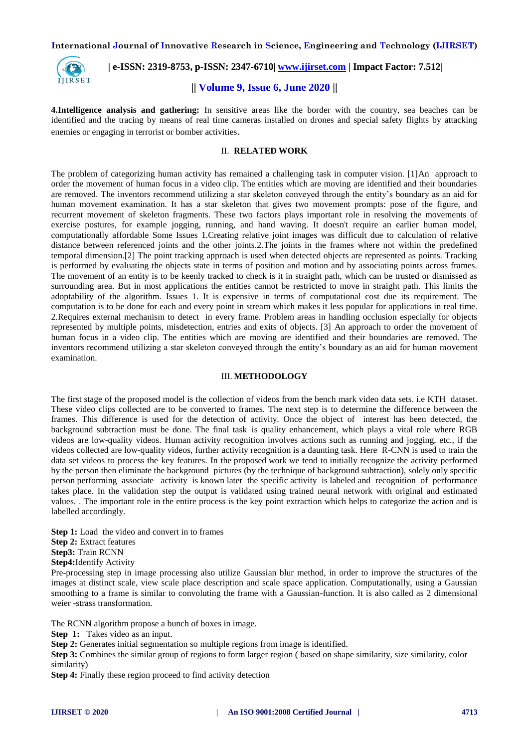

 **| e-ISSN: 2319-8753, p-ISSN: 2347-6710| [www.ijirset.com](http://www.ijirset.com/) | Impact Factor: 7.512|**

# **|| Volume 9, Issue 6, June 2020 ||**

**4.Intelligence analysis and gathering:** In sensitive areas like the border with the country, sea beaches can be identified and the tracing by means of real time cameras installed on drones and special safety flights by attacking enemies or engaging in terrorist or bomber activities.

#### II. **RELATED WORK**

The problem of categorizing human activity has remained a challenging task in computer vision. [1]An approach to order the movement of human focus in a video clip. The entities which are moving are identified and their boundaries are removed. The inventors recommend utilizing a star skeleton conveyed through the entity's boundary as an aid for human movement examination. It has a star skeleton that gives two movement prompts: pose of the figure, and recurrent movement of skeleton fragments. These two factors plays important role in resolving the movements of exercise postures, for example jogging, running, and hand waving. It doesn't require an earlier human model, computationally affordable Some Issues 1.Creating relative joint images was difficult due to calculation of relative distance between referenced joints and the other joints.2.The joints in the frames where not within the predefined temporal dimension.[2] The point tracking approach is used when detected objects are represented as points. Tracking is performed by evaluating the objects state in terms of position and motion and by associating points across frames. The movement of an entity is to be keenly tracked to check is it in straight path, which can be trusted or dismissed as surrounding area. But in most applications the entities cannot be restricted to move in straight path. This limits the adoptability of the algorithm. Issues 1. It is expensive in terms of computational cost due its requirement. The computation is to be done for each and every point in stream which makes it less popular for applications in real time. 2.Requires external mechanism to detect in every frame. Problem areas in handling occlusion especially for objects represented by multiple points, misdetection, entries and exits of objects. [3] An approach to order the movement of human focus in a video clip. The entities which are moving are identified and their boundaries are removed. The inventors recommend utilizing a star skeleton conveyed through the entity's boundary as an aid for human movement examination.

## III. **METHODOLOGY**

The first stage of the proposed model is the collection of videos from the bench mark video data sets. i.e KTH dataset. These video clips collected are to be converted to frames. The next step is to determine the difference between the frames. This difference is used for the detection of activity. Once the object of interest has been detected, the background subtraction must be done. The final task is quality enhancement, which plays a vital role where RGB videos are low-quality videos. Human activity recognition involves actions such as running and jogging, etc., if the videos collected are low-quality videos, further activity recognition is a daunting task. Here R-CNN is used to train the data set videos to process the key features. In the proposed work we tend to initially recognize the activity performed by the person then eliminate the background pictures (by the technique of background subtraction), solely only specific person performing associate activity is known later the specific activity is labeled and recognition of performance takes place. In the validation step the output is validated using trained neural network with original and estimated values. . The important role in the entire process is the key point extraction which helps to categorize the action and is labelled accordingly.

**Step 1:** Load the video and convert in to frames **Step 2:** Extract features **Step3:** Train RCNN

**Step4:**Identify Activity

Pre-processing step in image processing also utilize Gaussian blur method, in order to improve the structures of the images at distinct scale, view scale place description and scale space application. Computationally, using a Gaussian smoothing to a frame is similar to convoluting the frame with a Gaussian-function. It is also called as 2 dimensional weier -strass transformation.

The RCNN algorithm propose a bunch of boxes in image.

**Step 1:** Takes video as an input.

**Step 2:** Generates initial segmentation so multiple regions from image is identified.

**Step 3:** Combines the similar group of regions to form larger region (based on shape similarity, size similarity, color similarity)

**Step 4:** Finally these region proceed to find activity detection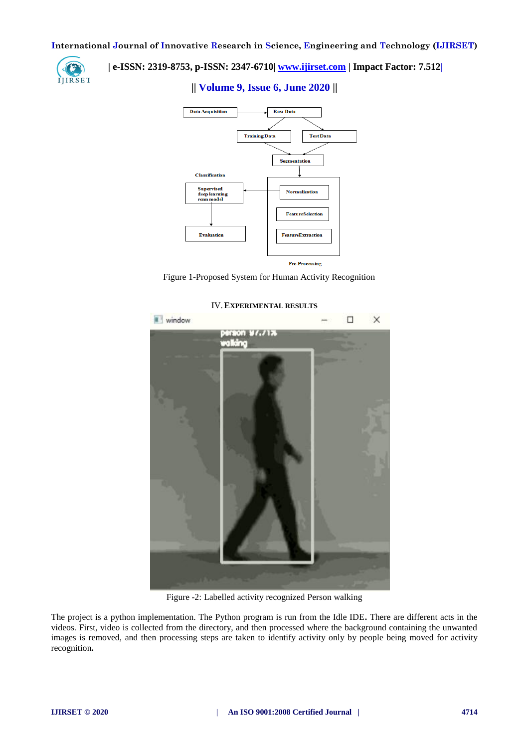

# **| e-ISSN: 2319-8753, p-ISSN: 2347-6710| [www.ijirset.com](http://www.ijirset.com/) | Impact Factor: 7.512|**

# **|| Volume 9, Issue 6, June 2020 ||**



Figure 1-Proposed System for Human Activity Recognition



#### IV.**EXPERIMENTAL RESULTS**

Figure -2: Labelled activity recognized Person walking

The project is a python implementation. The Python program is run from the Idle IDE**.** There are different acts in the videos. First, video is collected from the directory, and then processed where the background containing the unwanted images is removed, and then processing steps are taken to identify activity only by people being moved for activity recognition**.**